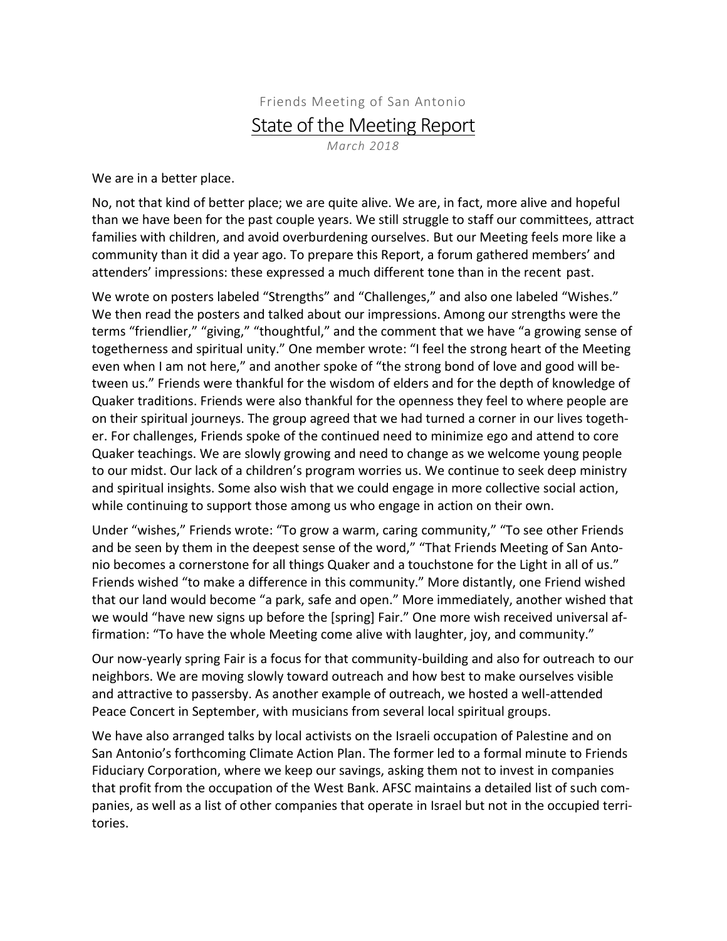## Friends Meeting of San Antonio **State of the Meeting Report**

*March 2018*

We are in a better place.

No, not that kind of better place; we are quite alive. We are, in fact, more alive and hopeful than we have been for the past couple years. We still struggle to staff our committees, attract families with children, and avoid overburdening ourselves. But our Meeting feels more like a community than it did a year ago. To prepare this Report, a forum gathered members' and attenders' impressions: these expressed a much different tone than in the recent past.

We wrote on posters labeled "Strengths" and "Challenges," and also one labeled "Wishes." We then read the posters and talked about our impressions. Among our strengths were the terms "friendlier," "giving," "thoughtful," and the comment that we have "a growing sense of togetherness and spiritual unity." One member wrote: "I feel the strong heart of the Meeting even when I am not here," and another spoke of "the strong bond of love and good will between us." Friends were thankful for the wisdom of elders and for the depth of knowledge of Quaker traditions. Friends were also thankful for the openness they feel to where people are on their spiritual journeys. The group agreed that we had turned a corner in our lives together. For challenges, Friends spoke of the continued need to minimize ego and attend to core Quaker teachings. We are slowly growing and need to change as we welcome young people to our midst. Our lack of a children's program worries us. We continue to seek deep ministry and spiritual insights. Some also wish that we could engage in more collective social action, while continuing to support those among us who engage in action on their own.

Under "wishes," Friends wrote: "To grow a warm, caring community," "To see other Friends and be seen by them in the deepest sense of the word," "That Friends Meeting of San Antonio becomes a cornerstone for all things Quaker and a touchstone for the Light in all of us." Friends wished "to make a difference in this community." More distantly, one Friend wished that our land would become "a park, safe and open." More immediately, another wished that we would "have new signs up before the [spring] Fair." One more wish received universal affirmation: "To have the whole Meeting come alive with laughter, joy, and community."

Our now-yearly spring Fair is a focus for that community-building and also for outreach to our neighbors. We are moving slowly toward outreach and how best to make ourselves visible and attractive to passersby. As another example of outreach, we hosted a well-attended Peace Concert in September, with musicians from several local spiritual groups.

We have also arranged talks by local activists on the Israeli occupation of Palestine and on San Antonio's forthcoming Climate Action Plan. The former led to a formal minute to Friends Fiduciary Corporation, where we keep our savings, asking them not to invest in companies that profit from the occupation of the West Bank. AFSC maintains a detailed list of such companies, as well as a list of other companies that operate in Israel but not in the occupied territories.